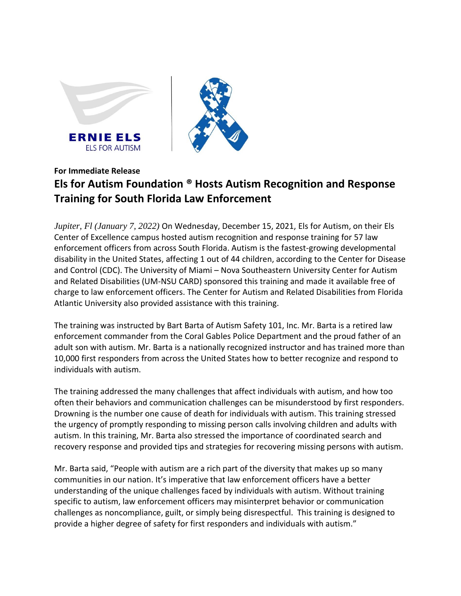



## **For Immediate Release**

## **Els for Autism Foundation ® Hosts Autism Recognition and Response Training for South Florida Law Enforcement**

*Jupiter, Fl (January 7, 2022)* On Wednesday, December 15, 2021, Els for Autism, on their Els Center of Excellence campus hosted autism recognition and response training for 57 law enforcement officers from across South Florida. Autism is the fastest-growing developmental disability in the United States, affecting 1 out of 44 children, according to the Center for Disease and Control (CDC). The University of Miami – Nova Southeastern University Center for Autism and Related Disabilities (UM-NSU CARD) sponsored this training and made it available free of charge to law enforcement officers. The Center for Autism and Related Disabilities from Florida Atlantic University also provided assistance with this training.

The training was instructed by Bart Barta of Autism Safety 101, Inc. Mr. Barta is a retired law enforcement commander from the Coral Gables Police Department and the proud father of an adult son with autism. Mr. Barta is a nationally recognized instructor and has trained more than 10,000 first responders from across the United States how to better recognize and respond to individuals with autism.

The training addressed the many challenges that affect individuals with autism, and how too often their behaviors and communication challenges can be misunderstood by first responders. Drowning is the number one cause of death for individuals with autism. This training stressed the urgency of promptly responding to missing person calls involving children and adults with autism. In this training, Mr. Barta also stressed the importance of coordinated search and recovery response and provided tips and strategies for recovering missing persons with autism.

Mr. Barta said, "People with autism are a rich part of the diversity that makes up so many communities in our nation. It's imperative that law enforcement officers have a better understanding of the unique challenges faced by individuals with autism. Without training specific to autism, law enforcement officers may misinterpret behavior or communication challenges as noncompliance, guilt, or simply being disrespectful. This training is designed to provide a higher degree of safety for first responders and individuals with autism."